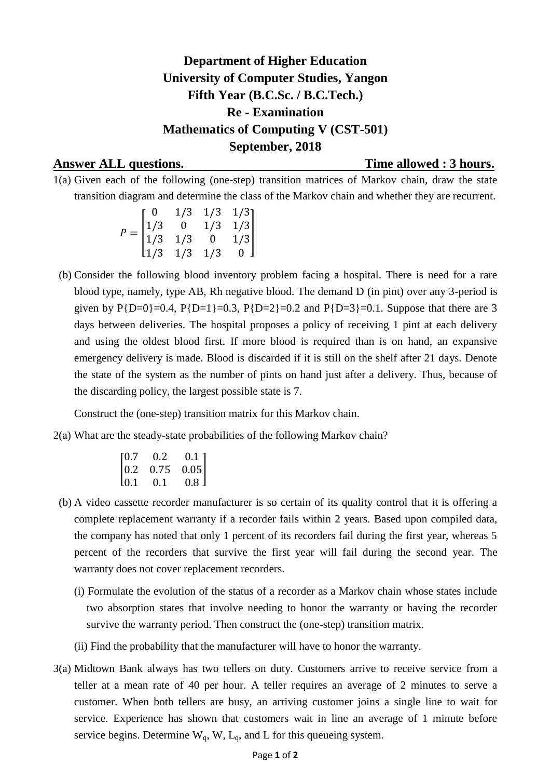## **Department of Higher Education University of Computer Studies, Yangon Fifth Year (B.C.Sc. / B.C.Tech.) Re - Examination Mathematics of Computing V (CST-501) September, 2018**

## **Answer ALL questions. Time allowed : 3 hours.**

1(a) Given each of the following (one-step) transition matrices of Markov chain, draw the state transition diagram and determine the class of the Markov chain and whether they are recurrent.

$$
P = \begin{bmatrix} 0 & 1/3 & 1/3 & 1/3 \\ 1/3 & 0 & 1/3 & 1/3 \\ 1/3 & 1/3 & 0 & 1/3 \\ 1/3 & 1/3 & 1/3 & 0 \end{bmatrix}
$$

 (b) Consider the following blood inventory problem facing a hospital. There is need for a rare blood type, namely, type AB, Rh negative blood. The demand D (in pint) over any 3-period is given by  $P{D=0}$ =0.4,  $P{D=1}$ =0.3,  $P{D=2}$ =0.2 and  $P{D=3}$ =0.1. Suppose that there are 3 days between deliveries. The hospital proposes a policy of receiving 1 pint at each delivery and using the oldest blood first. If more blood is required than is on hand, an expansive emergency delivery is made. Blood is discarded if it is still on the shelf after 21 days. Denote the state of the system as the number of pints on hand just after a delivery. Thus, because of the discarding policy, the largest possible state is 7.

Construct the (one-step) transition matrix for this Markov chain.

2(a) What are the steady-state probabilities of the following Markov chain?

| [0.7]            | 0.2  | $0.1\,$ ]        |
|------------------|------|------------------|
| 0.2              | 0.75 | 0.05             |
| L <sub>0.1</sub> | 0.1  | 0.8 <sub>1</sub> |

- (b) A video cassette recorder manufacturer is so certain of its quality control that it is offering a complete replacement warranty if a recorder fails within 2 years. Based upon compiled data, the company has noted that only 1 percent of its recorders fail during the first year, whereas 5 percent of the recorders that survive the first year will fail during the second year. The warranty does not cover replacement recorders.
	- (i) Formulate the evolution of the status of a recorder as a Markov chain whose states include two absorption states that involve needing to honor the warranty or having the recorder survive the warranty period. Then construct the (one-step) transition matrix.
	- (ii) Find the probability that the manufacturer will have to honor the warranty.
- 3(a) Midtown Bank always has two tellers on duty. Customers arrive to receive service from a teller at a mean rate of 40 per hour. A teller requires an average of 2 minutes to serve a customer. When both tellers are busy, an arriving customer joins a single line to wait for service. Experience has shown that customers wait in line an average of 1 minute before service begins. Determine  $W_q$ ,  $W$ ,  $L_q$ , and  $L$  for this queueing system.